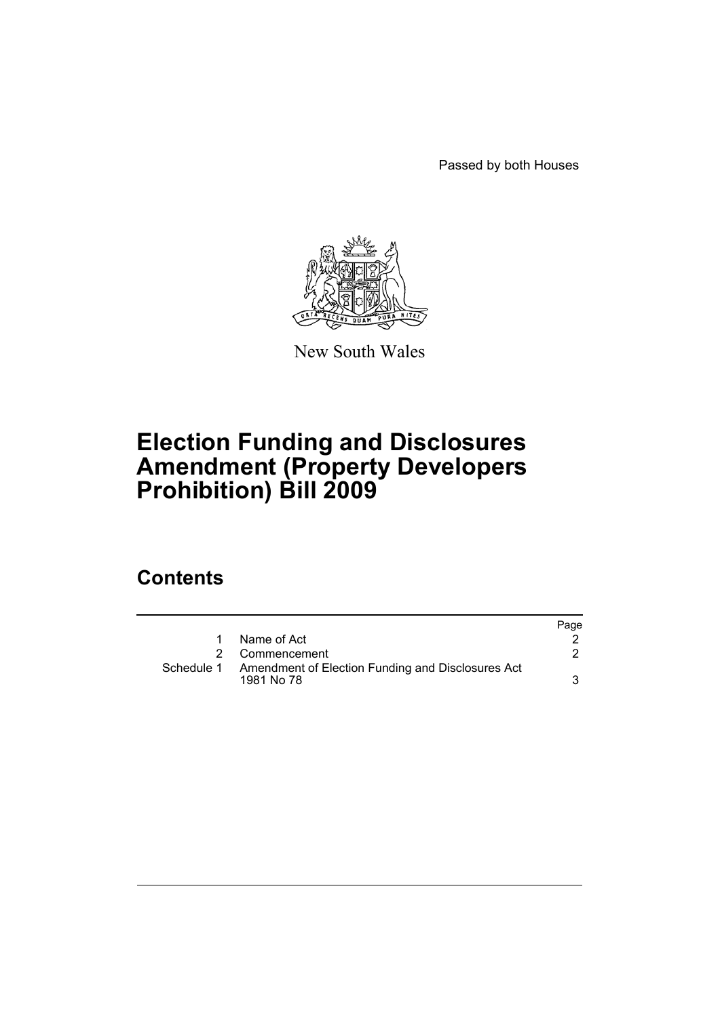Passed by both Houses



New South Wales

# **Election Funding and Disclosures Amendment (Property Developers Prohibition) Bill 2009**

## **Contents**

|            |                                                                 | Page |
|------------|-----------------------------------------------------------------|------|
|            | Name of Act                                                     |      |
| 2          | Commencement                                                    |      |
| Schedule 1 | Amendment of Election Funding and Disclosures Act<br>1981 No 78 | 3    |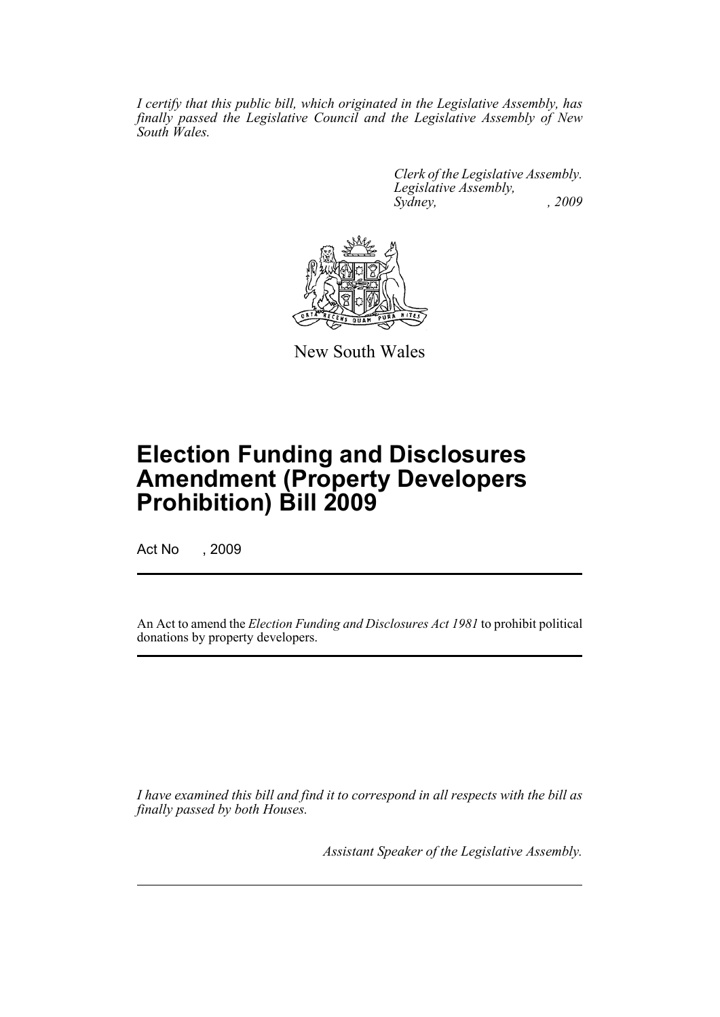*I certify that this public bill, which originated in the Legislative Assembly, has finally passed the Legislative Council and the Legislative Assembly of New South Wales.*

> *Clerk of the Legislative Assembly. Legislative Assembly, Sydney, , 2009*



New South Wales

# **Election Funding and Disclosures Amendment (Property Developers Prohibition) Bill 2009**

Act No , 2009

An Act to amend the *Election Funding and Disclosures Act 1981* to prohibit political donations by property developers.

*I have examined this bill and find it to correspond in all respects with the bill as finally passed by both Houses.*

*Assistant Speaker of the Legislative Assembly.*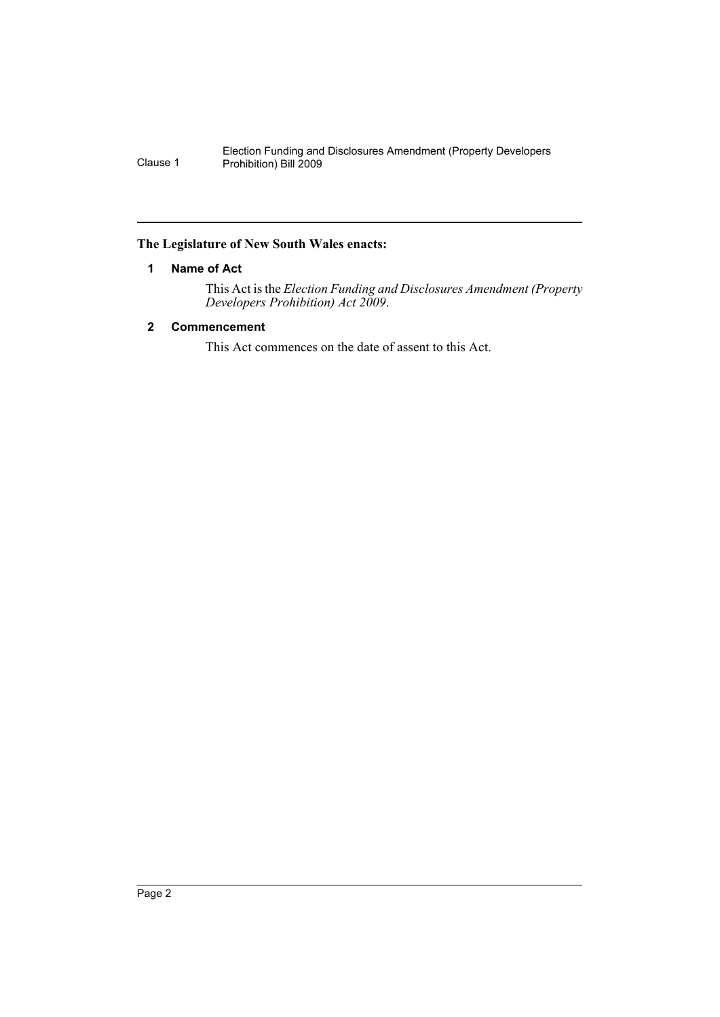### <span id="page-3-0"></span>**The Legislature of New South Wales enacts:**

## **1 Name of Act**

This Act is the *Election Funding and Disclosures Amendment (Property Developers Prohibition) Act 2009*.

## <span id="page-3-1"></span>**2 Commencement**

This Act commences on the date of assent to this Act.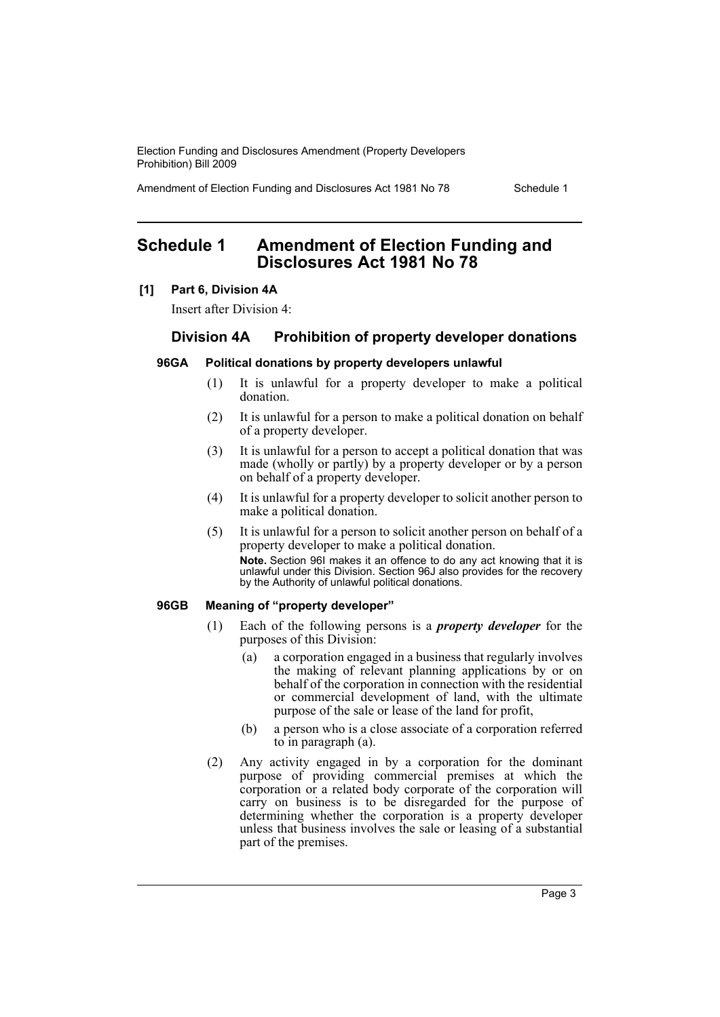Amendment of Election Funding and Disclosures Act 1981 No 78 Schedule 1

## <span id="page-4-0"></span>**Schedule 1 Amendment of Election Funding and Disclosures Act 1981 No 78**

#### **[1] Part 6, Division 4A**

Insert after Division 4:

## **Division 4A Prohibition of property developer donations**

### **96GA Political donations by property developers unlawful**

- (1) It is unlawful for a property developer to make a political donation.
- (2) It is unlawful for a person to make a political donation on behalf of a property developer.
- (3) It is unlawful for a person to accept a political donation that was made (wholly or partly) by a property developer or by a person on behalf of a property developer.
- (4) It is unlawful for a property developer to solicit another person to make a political donation.
- (5) It is unlawful for a person to solicit another person on behalf of a property developer to make a political donation. **Note.** Section 96I makes it an offence to do any act knowing that it is unlawful under this Division. Section 96J also provides for the recovery by the Authority of unlawful political donations.

#### **96GB Meaning of "property developer"**

- (1) Each of the following persons is a *property developer* for the purposes of this Division:
	- (a) a corporation engaged in a business that regularly involves the making of relevant planning applications by or on behalf of the corporation in connection with the residential or commercial development of land, with the ultimate purpose of the sale or lease of the land for profit,
	- (b) a person who is a close associate of a corporation referred to in paragraph (a).
- (2) Any activity engaged in by a corporation for the dominant purpose of providing commercial premises at which the corporation or a related body corporate of the corporation will carry on business is to be disregarded for the purpose of determining whether the corporation is a property developer unless that business involves the sale or leasing of a substantial part of the premises.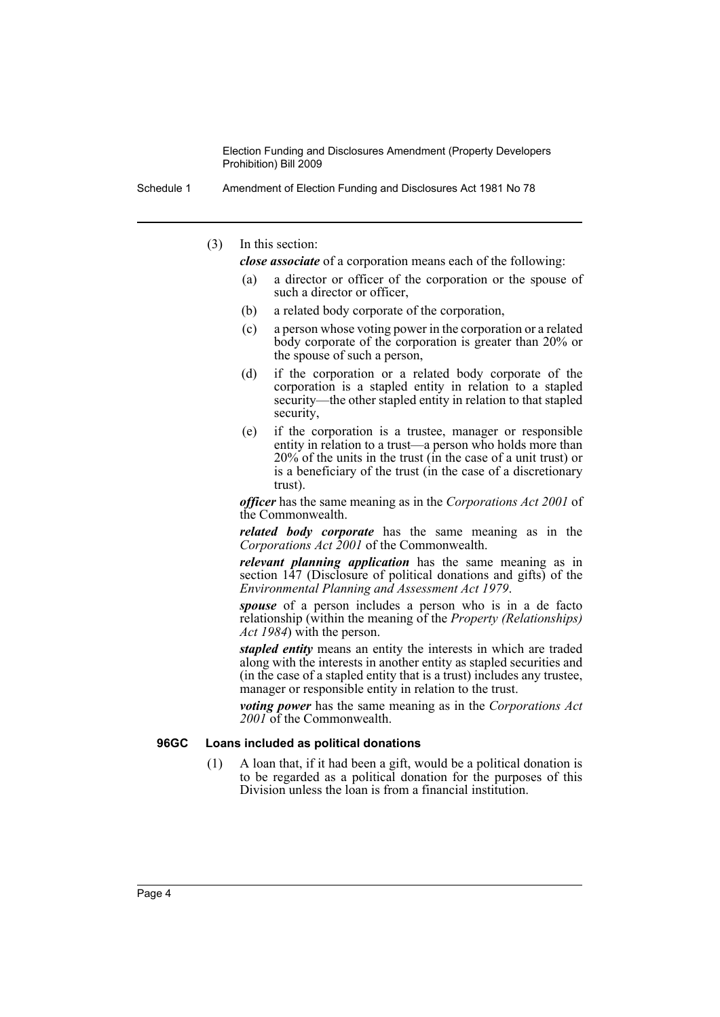Schedule 1 Amendment of Election Funding and Disclosures Act 1981 No 78

(3) In this section:

*close associate* of a corporation means each of the following:

- (a) a director or officer of the corporation or the spouse of such a director or officer,
- (b) a related body corporate of the corporation,
- (c) a person whose voting power in the corporation or a related body corporate of the corporation is greater than 20% or the spouse of such a person,
- (d) if the corporation or a related body corporate of the corporation is a stapled entity in relation to a stapled security—the other stapled entity in relation to that stapled security,
- (e) if the corporation is a trustee, manager or responsible entity in relation to a trust—a person who holds more than 20% of the units in the trust (in the case of a unit trust) or is a beneficiary of the trust (in the case of a discretionary trust).

*officer* has the same meaning as in the *Corporations Act 2001* of the Commonwealth.

*related body corporate* has the same meaning as in the *Corporations Act 2001* of the Commonwealth.

*relevant planning application* has the same meaning as in section 147 (Disclosure of political donations and gifts) of the *Environmental Planning and Assessment Act 1979*.

*spouse* of a person includes a person who is in a de facto relationship (within the meaning of the *Property (Relationships) Act 1984*) with the person.

*stapled entity* means an entity the interests in which are traded along with the interests in another entity as stapled securities and (in the case of a stapled entity that is a trust) includes any trustee, manager or responsible entity in relation to the trust.

*voting power* has the same meaning as in the *Corporations Act 2001* of the Commonwealth.

#### **96GC Loans included as political donations**

(1) A loan that, if it had been a gift, would be a political donation is to be regarded as a political donation for the purposes of this Division unless the loan is from a financial institution.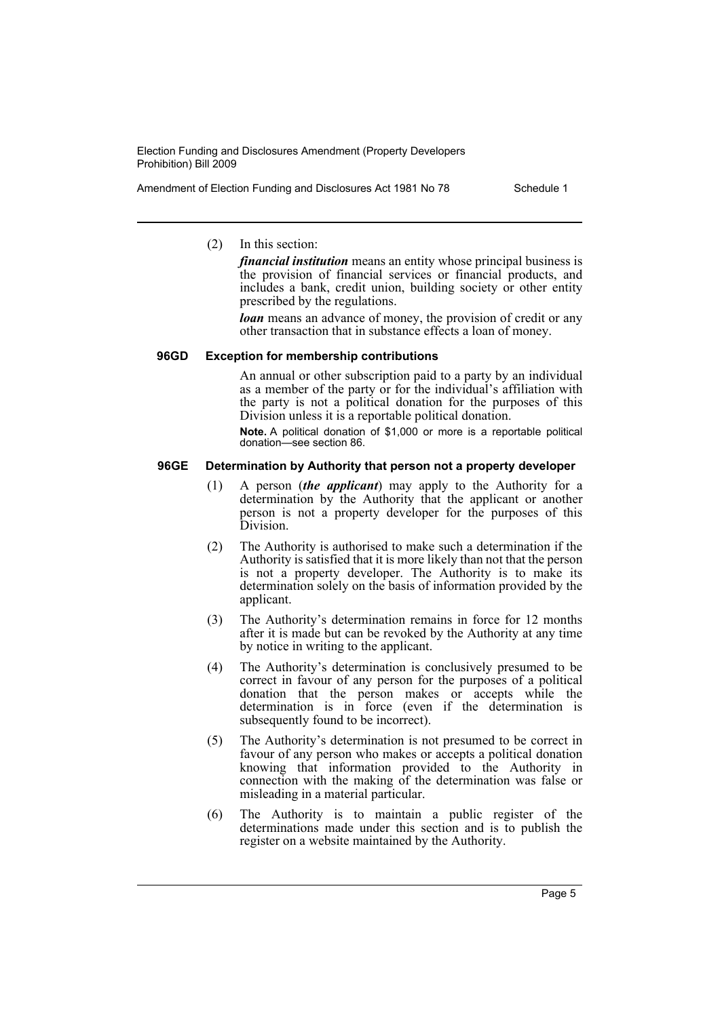Amendment of Election Funding and Disclosures Act 1981 No 78 Schedule 1

(2) In this section:

*financial institution* means an entity whose principal business is the provision of financial services or financial products, and includes a bank, credit union, building society or other entity prescribed by the regulations.

*loan* means an advance of money, the provision of credit or any other transaction that in substance effects a loan of money.

#### **96GD Exception for membership contributions**

An annual or other subscription paid to a party by an individual as a member of the party or for the individual's affiliation with the party is not a political donation for the purposes of this Division unless it is a reportable political donation.

**Note.** A political donation of \$1,000 or more is a reportable political donation—see section 86.

#### **96GE Determination by Authority that person not a property developer**

- (1) A person (*the applicant*) may apply to the Authority for a determination by the Authority that the applicant or another person is not a property developer for the purposes of this Division.
- (2) The Authority is authorised to make such a determination if the Authority is satisfied that it is more likely than not that the person is not a property developer. The Authority is to make its determination solely on the basis of information provided by the applicant.
- (3) The Authority's determination remains in force for 12 months after it is made but can be revoked by the Authority at any time by notice in writing to the applicant.
- (4) The Authority's determination is conclusively presumed to be correct in favour of any person for the purposes of a political donation that the person makes or accepts while the determination is in force (even if the determination is subsequently found to be incorrect).
- (5) The Authority's determination is not presumed to be correct in favour of any person who makes or accepts a political donation knowing that information provided to the Authority in connection with the making of the determination was false or misleading in a material particular.
- (6) The Authority is to maintain a public register of the determinations made under this section and is to publish the register on a website maintained by the Authority.